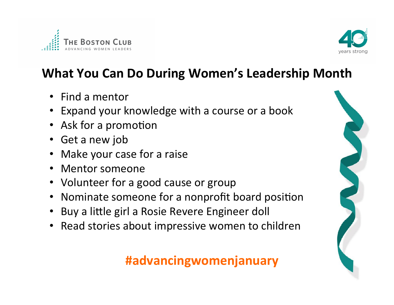



## **What You Can Do During Women's Leadership Month**

- Find a mentor
- Expand your knowledge with a course or a book
- Ask for a promotion
- Get a new job
- Make your case for a raise
- Mentor someone
- Volunteer for a good cause or group
- Nominate someone for a nonprofit board position
- Buy a little girl a Rosie Revere Engineer doll
- Read stories about impressive women to children

#### **#advancingwomenjanuary**

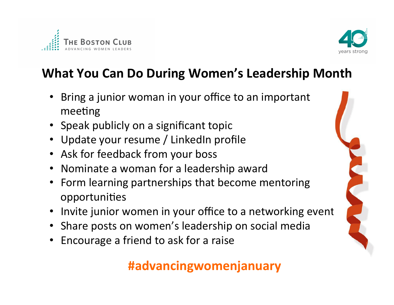



## **What You Can Do During Women's Leadership Month**

- Bring a junior woman in your office to an important meeting
- Speak publicly on a significant topic
- Update your resume / LinkedIn profile
- Ask for feedback from your boss
- Nominate a woman for a leadership award
- Form learning partnerships that become mentoring opportunities
- Invite junior women in your office to a networking event
- Share posts on women's leadership on social media
- Encourage a friend to ask for a raise

### **#advancingwomenjanuary**